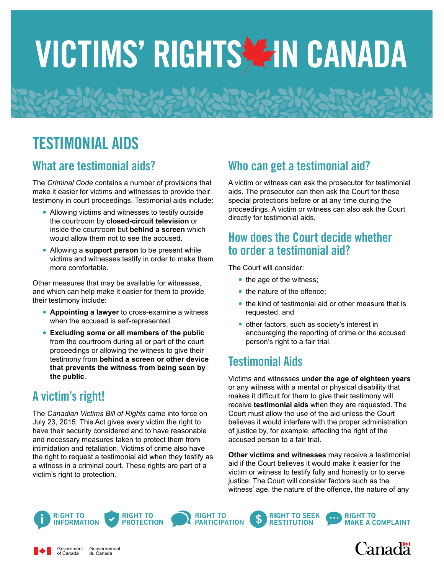# VICTIMS' RIGHTS ZIN CANADA

## TESTIMONIAL AIDS

#### What are testimonial aids?

The *Criminal Code* contains a number of provisions that make it easier for victims and witnesses to provide their testimony in court proceedings. Testimonial aids include:

- **•** Allowing victims and witnesses to testify outside the courtroom by **closed-circuit television** or inside the courtroom but **behind a screen** which would allow them not to see the accused.
- **•** Allowing a **support person** to be present while victims and witnesses testify in order to make them more comfortable.

Other measures that may be available for witnesses, and which can help make it easier for them to provide their testimony include:

- **• Appointing a lawyer** to cross-examine a witness when the accused is self-represented.
- **• Excluding some or all members of the public** from the courtroom during all or part of the court proceedings or allowing the witness to give their testimony from **behind a screen or other device that prevents the witness from being seen by the public**.

### A victim's right!

The *Canadian Victims Bill of Rights* came into force on July 23, 2015. This Act gives every victim the right to have their security considered and to have reasonable and necessary measures taken to protect them from intimidation and retaliation. Victims of crime also have the right to request a testimonial aid when they testify as a witness in a criminal court. These rights are part of a victim's right to protection.

#### Who can get a testimonial aid?

A victim or witness can ask the prosecutor for testimonial aids. The prosecutor can then ask the Court for these special protections before or at any time during the proceedings. A victim or witness can also ask the Court directly for testimonial aids.

#### How does the Court decide whether to order a testimonial aid?

The Court will consider:

- the age of the witness;
- the nature of the offence;
- **•** the kind of testimonial aid or other measure that is requested; and
- **•** other factors, such as society's interest in encouraging the reporting of crime or the accused person's right to a fair trial.

#### Testimonial Aids

Victims and witnesses **under the age of eighteen years** or any witness with a mental or physical disability that makes it difficult for them to give their testimony will receive **testimonial aids** when they are requested. The Court must allow the use of the aid unless the Court believes it would interfere with the proper administration of justice by, for example, affecting the right of the accused person to a fair trial.

**Other victims and witnesses** may receive a testimonial aid if the Court believes it would make it easier for the victim or witness to testify fully and honestly or to serve justice. The Court will consider factors such as the witness' age, the nature of the offence, the nature of any